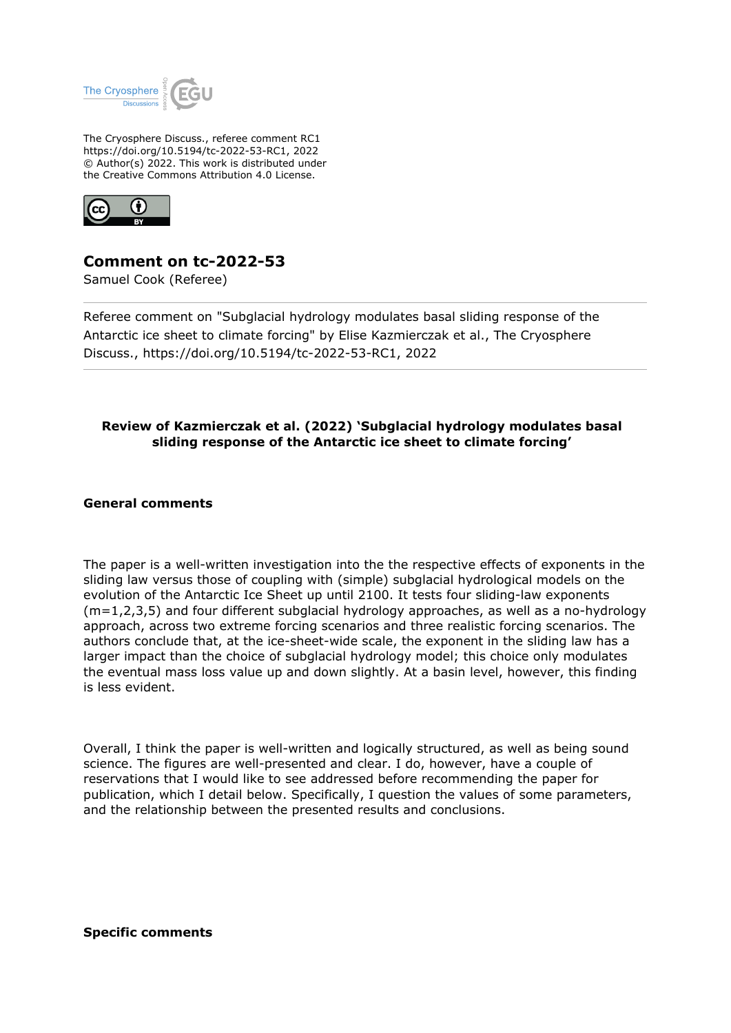

The Cryosphere Discuss., referee comment RC1 https://doi.org/10.5194/tc-2022-53-RC1, 2022 © Author(s) 2022. This work is distributed under the Creative Commons Attribution 4.0 License.



## **Comment on tc-2022-53**

Samuel Cook (Referee)

Referee comment on "Subglacial hydrology modulates basal sliding response of the Antarctic ice sheet to climate forcing" by Elise Kazmierczak et al., The Cryosphere Discuss., https://doi.org/10.5194/tc-2022-53-RC1, 2022

## **Review of Kazmierczak et al. (2022) 'Subglacial hydrology modulates basal sliding response of the Antarctic ice sheet to climate forcing'**

**General comments**

The paper is a well-written investigation into the the respective effects of exponents in the sliding law versus those of coupling with (simple) subglacial hydrological models on the evolution of the Antarctic Ice Sheet up until 2100. It tests four sliding-law exponents (m=1,2,3,5) and four different subglacial hydrology approaches, as well as a no-hydrology approach, across two extreme forcing scenarios and three realistic forcing scenarios. The authors conclude that, at the ice-sheet-wide scale, the exponent in the sliding law has a larger impact than the choice of subglacial hydrology model; this choice only modulates the eventual mass loss value up and down slightly. At a basin level, however, this finding is less evident.

Overall, I think the paper is well-written and logically structured, as well as being sound science. The figures are well-presented and clear. I do, however, have a couple of reservations that I would like to see addressed before recommending the paper for publication, which I detail below. Specifically, I question the values of some parameters, and the relationship between the presented results and conclusions.

**Specific comments**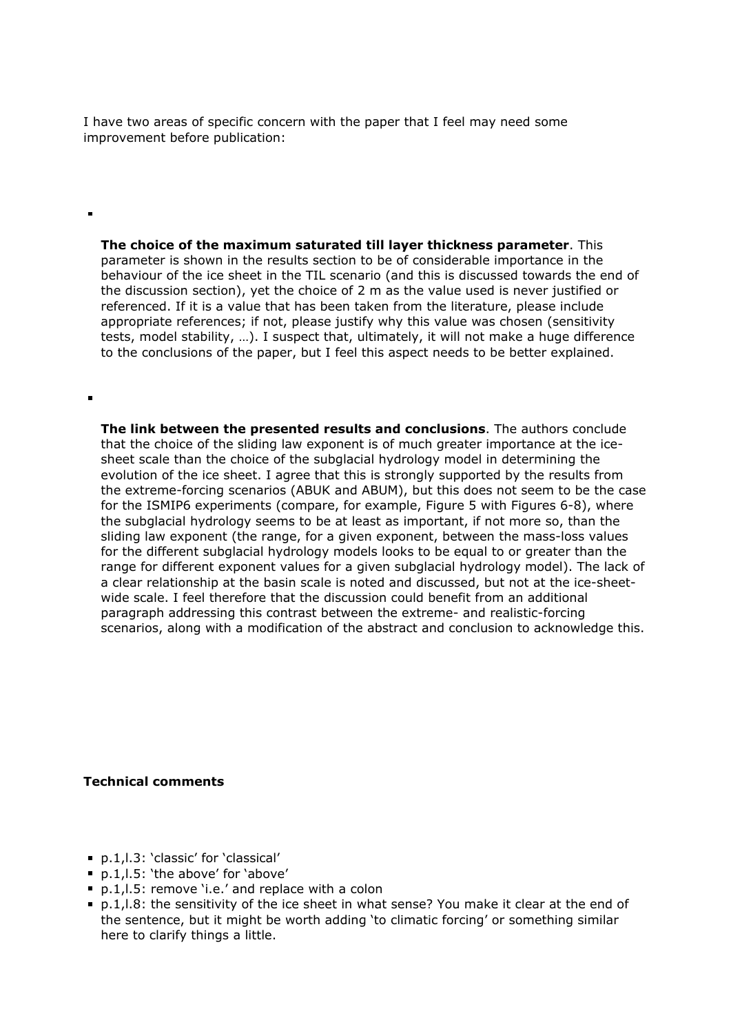I have two areas of specific concern with the paper that I feel may need some improvement before publication:

**The choice of the maximum saturated till layer thickness parameter**. This parameter is shown in the results section to be of considerable importance in the behaviour of the ice sheet in the TIL scenario (and this is discussed towards the end of the discussion section), yet the choice of 2 m as the value used is never justified or referenced. If it is a value that has been taken from the literature, please include appropriate references; if not, please justify why this value was chosen (sensitivity tests, model stability, …). I suspect that, ultimately, it will not make a huge difference to the conclusions of the paper, but I feel this aspect needs to be better explained.

**The link between the presented results and conclusions**. The authors conclude that the choice of the sliding law exponent is of much greater importance at the icesheet scale than the choice of the subglacial hydrology model in determining the evolution of the ice sheet. I agree that this is strongly supported by the results from the extreme-forcing scenarios (ABUK and ABUM), but this does not seem to be the case for the ISMIP6 experiments (compare, for example, Figure 5 with Figures 6-8), where the subglacial hydrology seems to be at least as important, if not more so, than the sliding law exponent (the range, for a given exponent, between the mass-loss values for the different subglacial hydrology models looks to be equal to or greater than the range for different exponent values for a given subglacial hydrology model). The lack of a clear relationship at the basin scale is noted and discussed, but not at the ice-sheetwide scale. I feel therefore that the discussion could benefit from an additional paragraph addressing this contrast between the extreme- and realistic-forcing scenarios, along with a modification of the abstract and conclusion to acknowledge this.

## **Technical comments**

ř.

- p.1,l.3: 'classic' for 'classical'
- p.1, l.5: 'the above' for 'above'
- p.1, l.5: remove 'i.e.' and replace with a colon
- **P.1, l.8: the sensitivity of the ice sheet in what sense? You make it clear at the end of** the sentence, but it might be worth adding 'to climatic forcing' or something similar here to clarify things a little.